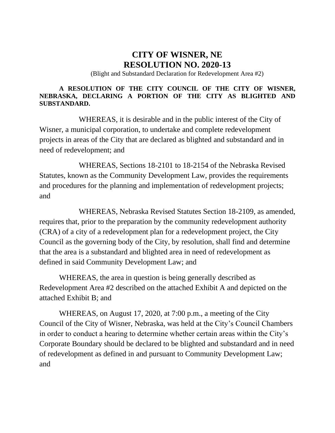## **CITY OF WISNER, NE RESOLUTION NO. 2020-13**

(Blight and Substandard Declaration for Redevelopment Area #2)

## **A RESOLUTION OF THE CITY COUNCIL OF THE CITY OF WISNER, NEBRASKA, DECLARING A PORTION OF THE CITY AS BLIGHTED AND SUBSTANDARD.**

WHEREAS, it is desirable and in the public interest of the City of Wisner, a municipal corporation, to undertake and complete redevelopment projects in areas of the City that are declared as blighted and substandard and in need of redevelopment; and

WHEREAS, Sections 18-2101 to 18-2154 of the Nebraska Revised Statutes, known as the Community Development Law, provides the requirements and procedures for the planning and implementation of redevelopment projects; and

WHEREAS, Nebraska Revised Statutes Section 18-2109, as amended, requires that, prior to the preparation by the community redevelopment authority (CRA) of a city of a redevelopment plan for a redevelopment project, the City Council as the governing body of the City, by resolution, shall find and determine that the area is a substandard and blighted area in need of redevelopment as defined in said Community Development Law; and

WHEREAS, the area in question is being generally described as Redevelopment Area #2 described on the attached Exhibit A and depicted on the attached Exhibit B; and

WHEREAS, on August 17, 2020, at 7:00 p.m., a meeting of the City Council of the City of Wisner, Nebraska, was held at the City's Council Chambers in order to conduct a hearing to determine whether certain areas within the City's Corporate Boundary should be declared to be blighted and substandard and in need of redevelopment as defined in and pursuant to Community Development Law; and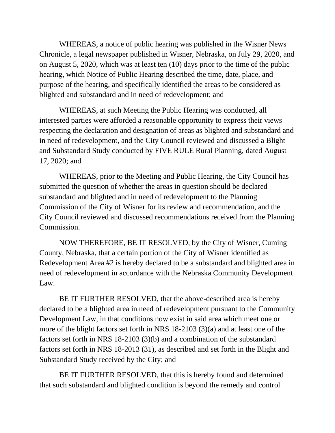WHEREAS, a notice of public hearing was published in the Wisner News Chronicle, a legal newspaper published in Wisner, Nebraska, on July 29, 2020, and on August 5, 2020, which was at least ten (10) days prior to the time of the public hearing, which Notice of Public Hearing described the time, date, place, and purpose of the hearing, and specifically identified the areas to be considered as blighted and substandard and in need of redevelopment; and

WHEREAS, at such Meeting the Public Hearing was conducted, all interested parties were afforded a reasonable opportunity to express their views respecting the declaration and designation of areas as blighted and substandard and in need of redevelopment, and the City Council reviewed and discussed a Blight and Substandard Study conducted by FIVE RULE Rural Planning, dated August 17, 2020; and

WHEREAS, prior to the Meeting and Public Hearing, the City Council has submitted the question of whether the areas in question should be declared substandard and blighted and in need of redevelopment to the Planning Commission of the City of Wisner for its review and recommendation, and the City Council reviewed and discussed recommendations received from the Planning Commission.

NOW THEREFORE, BE IT RESOLVED, by the City of Wisner, Cuming County, Nebraska, that a certain portion of the City of Wisner identified as Redevelopment Area #2 is hereby declared to be a substandard and blighted area in need of redevelopment in accordance with the Nebraska Community Development Law.

BE IT FURTHER RESOLVED, that the above-described area is hereby declared to be a blighted area in need of redevelopment pursuant to the Community Development Law, in that conditions now exist in said area which meet one or more of the blight factors set forth in NRS 18-2103 (3)(a) and at least one of the factors set forth in NRS 18-2103 (3)(b) and a combination of the substandard factors set forth in NRS 18-2013 (31), as described and set forth in the Blight and Substandard Study received by the City; and

BE IT FURTHER RESOLVED, that this is hereby found and determined that such substandard and blighted condition is beyond the remedy and control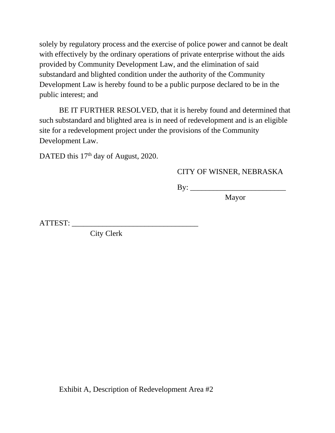solely by regulatory process and the exercise of police power and cannot be dealt with effectively by the ordinary operations of private enterprise without the aids provided by Community Development Law, and the elimination of said substandard and blighted condition under the authority of the Community Development Law is hereby found to be a public purpose declared to be in the public interest; and

BE IT FURTHER RESOLVED, that it is hereby found and determined that such substandard and blighted area is in need of redevelopment and is an eligible site for a redevelopment project under the provisions of the Community Development Law.

DATED this 17<sup>th</sup> day of August, 2020.

## CITY OF WISNER, NEBRASKA

By: \_\_\_\_\_\_\_\_\_\_\_\_\_\_\_\_\_\_\_\_\_\_\_\_\_

Mayor

ATTEST: \_\_\_\_\_\_\_\_\_\_\_\_\_\_\_\_\_\_\_\_\_\_\_\_\_\_\_\_\_\_\_\_\_

City Clerk

Exhibit A, Description of Redevelopment Area #2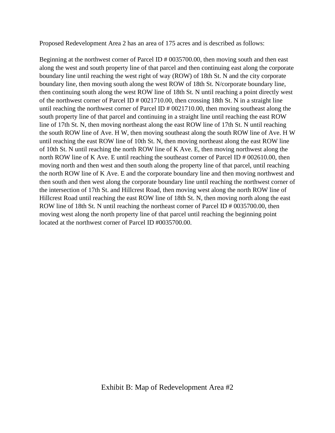Proposed Redevelopment Area 2 has an area of 175 acres and is described as follows:

Beginning at the northwest corner of Parcel ID # 0035700.00, then moving south and then east along the west and south property line of that parcel and then continuing east along the corporate boundary line until reaching the west right of way (ROW) of 18th St. N and the city corporate boundary line, then moving south along the west ROW of 18th St. N/corporate boundary line, then continuing south along the west ROW line of 18th St. N until reaching a point directly west of the northwest corner of Parcel ID # 0021710.00, then crossing 18th St. N in a straight line until reaching the northwest corner of Parcel ID # 0021710.00, then moving southeast along the south property line of that parcel and continuing in a straight line until reaching the east ROW line of 17th St. N, then moving northeast along the east ROW line of 17th St. N until reaching the south ROW line of Ave. H W, then moving southeast along the south ROW line of Ave. H W until reaching the east ROW line of 10th St. N, then moving northeast along the east ROW line of 10th St. N until reaching the north ROW line of K Ave. E, then moving northwest along the north ROW line of K Ave. E until reaching the southeast corner of Parcel ID # 002610.00, then moving north and then west and then south along the property line of that parcel, until reaching the north ROW line of K Ave. E and the corporate boundary line and then moving northwest and then south and then west along the corporate boundary line until reaching the northwest corner of the intersection of 17th St. and Hillcrest Road, then moving west along the north ROW line of Hillcrest Road until reaching the east ROW line of 18th St. N, then moving north along the east ROW line of 18th St. N until reaching the northeast corner of Parcel ID # 0035700.00, then moving west along the north property line of that parcel until reaching the beginning point located at the northwest corner of Parcel ID #0035700.00.